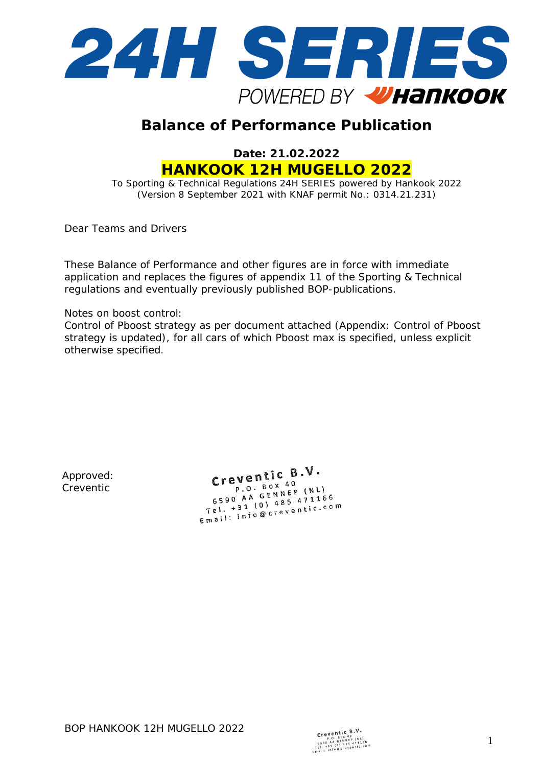

# **Balance of Performance Publication**

**Date: 21.02.2022 HANKOOK 12H MUGELLO 2022**

To Sporting & Technical Regulations 24H SERIES powered by Hankook 2022 (Version 8 September 2021 with KNAF permit No.: 0314.21.231)

Dear Teams and Drivers

These Balance of Performance and other figures are in force with immediate application and replaces the figures of appendix 11 of the Sporting & Technical regulations and eventually previously published BOP-publications.

Notes on boost control:

Control of Pboost strategy as per document attached (Appendix: Control of Pboost strategy is updated), for all cars of which Pboost max is specified, unless explicit otherwise specified.

Approved: Creventic

Creventic  $B.V.$  $eV$ entre  $P$ . Box 40 P.O. Box 40<br>6590 AA GENNEP (NL) 6590 AA GENNEP (NL)<br>Tel. +31 (0) 485 471166<br>Tel. +31 (0) 485 471166  $5590$  A1 (0) 485 471100<br>
Tel. +31 (0) 485 471100<br>
Email: info@creventic.com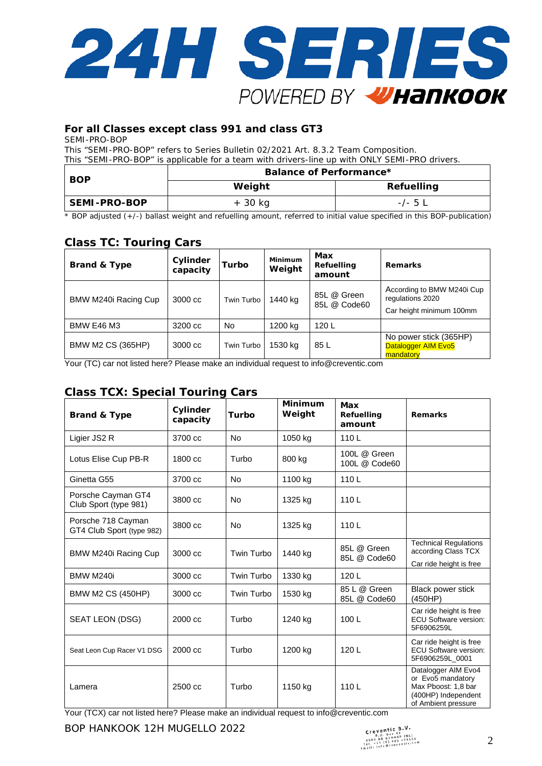

### **For all Classes except class 991 and class GT3**

SEMI-PRO-BOP

This "SEMI-PRO-BOP" refers to Series Bulletin 02/2021 Art. 8.3.2 Team Composition. This "SEMI-PRO-BOP" is applicable for a team with drivers-line up with ONLY SEMI-PRO drivers.

| <b>BOP</b>   | Balance of Performance* |                   |  |  |  |
|--------------|-------------------------|-------------------|--|--|--|
|              | Weight                  | <b>Refuelling</b> |  |  |  |
| SEMI-PRO-BOP | + 30 kg                 | $-/-$ 5 $\perp$   |  |  |  |

\* BOP adjusted (+/-) ballast weight and refuelling amount, referred to initial value specified in this BOP-publication)

# **Class TC: Touring Cars**

| <b>Brand &amp; Type</b>  | Cylinder<br>capacity | Turbo      | Minimum<br>Weight | Max<br>Refuelling<br>amount | <b>Remarks</b>                                                             |
|--------------------------|----------------------|------------|-------------------|-----------------------------|----------------------------------------------------------------------------|
| BMW M240i Racing Cup     | 3000 cc              | Twin Turbo | 1440 kg           | 85L @ Green<br>85L @ Code60 | According to BMW M240i Cup<br>regulations 2020<br>Car height minimum 100mm |
| <b>BMW E46 M3</b>        | 3200 cc              | <b>No</b>  | 1200 kg           | 120L                        |                                                                            |
| <b>BMW M2 CS (365HP)</b> | 3000 cc              | Twin Turbo | 1530 kg           | 85 L                        | No power stick (365HP)<br>Datalogger AIM Evo5<br>mandatory                 |

Your (TC) car not listed here? Please make an individual request t[o info@creventic.com](mailto:info@creventic.com)

## **Class TCX: Special Touring Cars**

| <b>Brand &amp; Type</b>                         | Cylinder<br>capacity | Turbo      | <b>Minimum</b><br>Weight | Max<br><b>Refuelling</b><br>amount | <b>Remarks</b>                                                                                                |
|-------------------------------------------------|----------------------|------------|--------------------------|------------------------------------|---------------------------------------------------------------------------------------------------------------|
| Ligier JS2 R                                    | 3700 cc              | <b>No</b>  | 1050 kg                  | 110L                               |                                                                                                               |
| Lotus Elise Cup PB-R                            | 1800 cc              | Turbo      | 800 kg                   | 100L @ Green<br>100L @ Code60      |                                                                                                               |
| Ginetta G55                                     | 3700 cc              | No         | 1100 kg                  | 110L                               |                                                                                                               |
| Porsche Cayman GT4<br>Club Sport (type 981)     | 3800 cc              | <b>No</b>  | 1325 kg                  | 110L                               |                                                                                                               |
| Porsche 718 Cayman<br>GT4 Club Sport (type 982) | 3800 cc              | <b>No</b>  | 1325 kg                  | 110L                               |                                                                                                               |
| BMW M240i Racing Cup                            | 3000 cc              | Twin Turbo | 1440 kg                  | 85L @ Green<br>85L @ Code60        | <b>Technical Regulations</b><br>according Class TCX                                                           |
| BMW M240i                                       | 3000 cc              | Twin Turbo | 1330 kg                  | 120L                               | Car ride height is free                                                                                       |
| <b>BMW M2 CS (450HP)</b>                        | 3000 cc              | Twin Turbo | 1530 kg                  | 85 L @ Green<br>85L @ Code60       | Black power stick<br>(450HP)                                                                                  |
| SEAT LEON (DSG)                                 | 2000 cc              | Turbo      | 1240 kg                  | 100L                               | Car ride height is free<br><b>ECU Software version:</b><br>5F6906259L                                         |
| Seat Leon Cup Racer V1 DSG                      | $2000 \text{ cc}$    | Turbo      | 1200 kg                  | 120L                               | Car ride height is free<br><b>ECU Software version:</b><br>5F6906259L 0001                                    |
| Lamera                                          | 2500 cc              | Turbo      | 1150 kg                  | 110L                               | Datalogger AIM Evo4<br>or Evo5 mandatory<br>Max Pboost: 1,8 bar<br>(400HP) Independent<br>of Ambient pressure |

Your (TCX) car not listed here? Please make an individual request t[o info@creventic.com](mailto:info@creventic.com)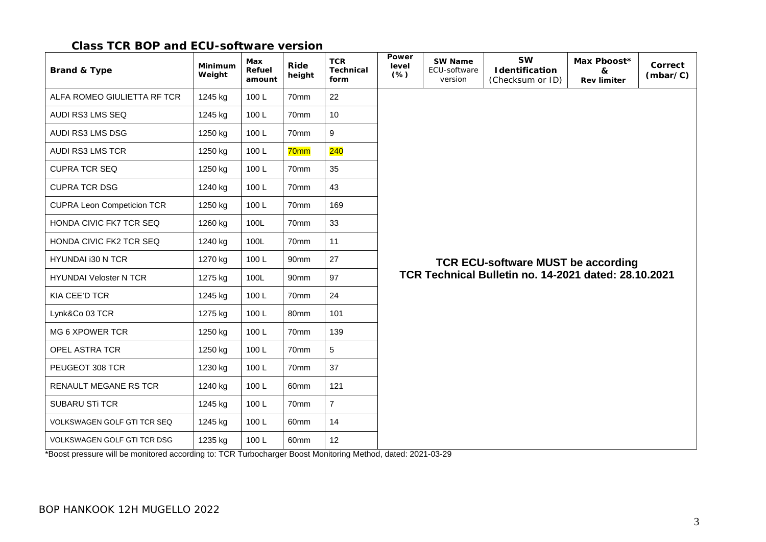## **Class TCR BOP and ECU-software version**

| <b>Brand &amp; Type</b>           | Minimum<br>Weight | Max<br>Refuel<br>amount | Ride<br>height   | <b>TCR</b><br><b>Technical</b><br>form | Power<br>level<br>$(*)$                              | <b>SW Name</b><br>ECU-software<br>version | <b>SW</b><br><b>I</b> dentification<br>(Checksum or ID) | Max Pboost*<br>&<br><b>Rev limiter</b> | Correct<br>(mbar/C) |  |  |
|-----------------------------------|-------------------|-------------------------|------------------|----------------------------------------|------------------------------------------------------|-------------------------------------------|---------------------------------------------------------|----------------------------------------|---------------------|--|--|
| ALFA ROMEO GIULIETTA RF TCR       | 1245 kg           | 100L                    | 70mm             | 22                                     |                                                      |                                           |                                                         |                                        |                     |  |  |
| AUDI RS3 LMS SEQ                  | 1245 kg           | 100L                    | 70mm             | 10                                     |                                                      |                                           |                                                         |                                        |                     |  |  |
| AUDI RS3 LMS DSG                  | 1250 kg           | 100L                    | 70mm             | $\boldsymbol{9}$                       |                                                      |                                           |                                                         |                                        |                     |  |  |
| <b>AUDI RS3 LMS TCR</b>           | 1250 kg           | 100L                    | 70mm             | 240                                    |                                                      |                                           |                                                         |                                        |                     |  |  |
| <b>CUPRA TCR SEQ</b>              | 1250 kg           | 100L                    | 70mm             | 35                                     |                                                      |                                           |                                                         |                                        |                     |  |  |
| <b>CUPRA TCR DSG</b>              | 1240 kg           | 100L                    | 70mm             | 43                                     |                                                      |                                           |                                                         |                                        |                     |  |  |
| <b>CUPRA Leon Competicion TCR</b> | 1250 kg           | 100L                    | 70mm             | 169                                    |                                                      |                                           |                                                         |                                        |                     |  |  |
| HONDA CIVIC FK7 TCR SEQ           | 1260 kg           | 100L                    | 70mm             | 33                                     |                                                      |                                           |                                                         |                                        |                     |  |  |
| HONDA CIVIC FK2 TCR SEQ           | 1240 kg           | 100L                    | 70mm             | 11                                     | <b>TCR ECU-software MUST be according</b>            |                                           |                                                         |                                        |                     |  |  |
| HYUNDAI i30 N TCR                 | 1270 kg           | 100L                    | 90mm             | 27                                     |                                                      |                                           |                                                         |                                        |                     |  |  |
| <b>HYUNDAI Veloster N TCR</b>     | 1275 kg           | 100L                    | 90mm             | 97                                     | TCR Technical Bulletin no. 14-2021 dated: 28.10.2021 |                                           |                                                         |                                        |                     |  |  |
| KIA CEE'D TCR                     | 1245 kg           | 100L                    | 70mm             | 24                                     |                                                      |                                           |                                                         |                                        |                     |  |  |
| Lynk&Co 03 TCR                    | 1275 kg           | 100L                    | 80mm             | 101                                    |                                                      |                                           |                                                         |                                        |                     |  |  |
| MG 6 XPOWER TCR                   | 1250 kg           | 100L                    | 70mm             | 139                                    |                                                      |                                           |                                                         |                                        |                     |  |  |
| OPEL ASTRA TCR                    | 1250 kg           | 100L                    | 70mm             | 5                                      |                                                      |                                           |                                                         |                                        |                     |  |  |
| PEUGEOT 308 TCR                   | 1230 kg           | 100L                    | 70mm             | 37                                     |                                                      |                                           |                                                         |                                        |                     |  |  |
| RENAULT MEGANE RS TCR             | 1240 kg           | 100L                    | 60 <sub>mm</sub> | 121                                    |                                                      |                                           |                                                         |                                        |                     |  |  |
| <b>SUBARU STI TCR</b>             | 1245 kg           | 100L                    | 70mm             | $\overline{7}$                         |                                                      |                                           |                                                         |                                        |                     |  |  |
| VOLKSWAGEN GOLF GTI TCR SEQ       | 1245 kg           | 100L                    | 60mm             | 14                                     |                                                      |                                           |                                                         |                                        |                     |  |  |
| VOLKSWAGEN GOLF GTI TCR DSG       | 1235 kg           | 100L                    | 60mm             | 12                                     |                                                      |                                           |                                                         |                                        |                     |  |  |

\*Boost pressure will be monitored according to: TCR Turbocharger Boost Monitoring Method, dated: 2021-03-29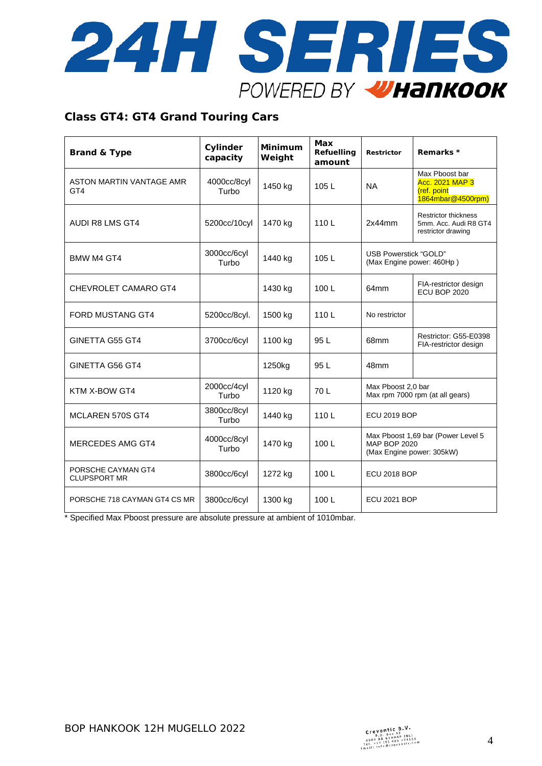

#### **Class GT4: GT4 Grand Touring Cars**

| <b>Brand &amp; Type</b>                     | Cylinder<br>capacity | <b>Minimum</b><br>Weight | <b>Max</b><br>Refuelling<br>amount | <b>Restrictor</b>                                                                      | Remarks *                                                                    |
|---------------------------------------------|----------------------|--------------------------|------------------------------------|----------------------------------------------------------------------------------------|------------------------------------------------------------------------------|
| ASTON MARTIN VANTAGE AMR<br>GT <sub>4</sub> | 4000cc/8cyl<br>Turbo | 1450 kg                  | 105L                               | <b>NA</b>                                                                              | Max Pboost bar<br><b>Acc. 2021 MAP 3</b><br>(ref. point<br>1864mbar@4500rpm) |
| <b>AUDI R8 LMS GT4</b>                      | 5200cc/10cyl         | 1470 kg                  | 110L                               | 2x44mm                                                                                 | <b>Restrictor thickness</b><br>5mm. Acc. Audi R8 GT4<br>restrictor drawing   |
| <b>BMW M4 GT4</b>                           | 3000cc/6cyl<br>Turbo | 1440 kg                  | 105L                               | USB Powerstick "GOLD"                                                                  | (Max Engine power: 460Hp)                                                    |
| CHEVROLET CAMARO GT4                        |                      | 1430 kg                  | 100L                               | 64mm                                                                                   | FIA-restrictor design<br>ECU BOP 2020                                        |
| <b>FORD MUSTANG GT4</b>                     | 5200cc/8cyl.         | 1500 kg                  | 110L                               | No restrictor                                                                          |                                                                              |
| <b>GINETTA G55 GT4</b>                      | 3700cc/6cyl          | 1100 kg                  | 95 L                               | 68mm                                                                                   | Restrictor: G55-E0398<br>FIA-restrictor design                               |
| GINETTA G56 GT4                             |                      | 1250kg                   | 95 L                               | 48mm                                                                                   |                                                                              |
| KTM X-BOW GT4                               | 2000cc/4cyl<br>Turbo | 1120 kg                  | 70 L                               | Max Pboost 2,0 bar<br>Max rpm 7000 rpm (at all gears)                                  |                                                                              |
| <b>MCLAREN 570S GT4</b>                     | 3800cc/8cyl<br>Turbo | 1440 kg                  | 110L                               | <b>ECU 2019 BOP</b>                                                                    |                                                                              |
| <b>MERCEDES AMG GT4</b>                     | 4000cc/8cyl<br>Turbo | 1470 kg                  | 100L                               | Max Pboost 1,69 bar (Power Level 5<br><b>MAP BOP 2020</b><br>(Max Engine power: 305kW) |                                                                              |
| PORSCHE CAYMAN GT4<br><b>CLUPSPORT MR</b>   | 3800cc/6cyl          | 1272 kg                  | 100L                               | <b>ECU 2018 BOP</b>                                                                    |                                                                              |
| PORSCHE 718 CAYMAN GT4 CS MR                | 3800cc/6cyl          | 1300 kg                  | 100L                               | <b>ECU 2021 BOP</b>                                                                    |                                                                              |

\* Specified Max Pboost pressure are absolute pressure at ambient of 1010mbar.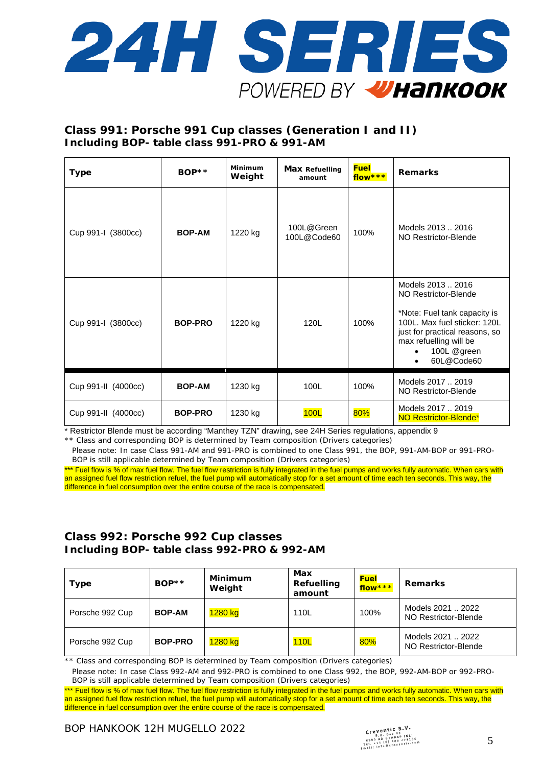

## **Class 991: Porsche 991 Cup classes (Generation I and II) Including BOP- table class 991-PRO & 991-AM**

| <b>Type</b>         | $BOP**$        | Minimum<br>Weight | <b>Max Refuelling</b><br>amount | <b>Fuel</b><br>flow *** | <b>Remarks</b>                                                                                                                                                                                     |
|---------------------|----------------|-------------------|---------------------------------|-------------------------|----------------------------------------------------------------------------------------------------------------------------------------------------------------------------------------------------|
| Cup 991-I (3800cc)  | <b>BOP-AM</b>  | 1220 kg           | 100L@Green<br>100L@Code60       | 100%                    | Models 2013  2016<br>NO Restrictor-Blende                                                                                                                                                          |
| Cup 991-I (3800cc)  | <b>BOP-PRO</b> | 1220 kg           | 120L                            | 100%                    | Models 2013  2016<br>NO Restrictor-Blende<br>*Note: Fuel tank capacity is<br>100L. Max fuel sticker: 120L<br>just for practical reasons, so<br>max refuelling will be<br>100L @green<br>60L@Code60 |
| Cup 991-II (4000cc) | <b>BOP-AM</b>  | 1230 kg           | 100L                            | 100%                    | Models 2017  2019<br>NO Restrictor-Blende                                                                                                                                                          |
| Cup 991-II (4000cc) | <b>BOP-PRO</b> | 1230 kg           | 100L                            | 80%                     | Models 2017  2019<br>NO Restrictor-Blende*                                                                                                                                                         |

\* Restrictor Blende must be according "Manthey TZN" drawing, see 24H Series regulations, appendix 9 \*\* Class and corresponding BOP is determined by Team composition (Drivers categories)

Please note: In case Class 991-AM and 991-PRO is combined to one Class 991, the BOP, 991-AM-BOP or 991-PRO-BOP is still applicable determined by Team composition (Drivers categories)

\*\*\* Fuel flow is % of max fuel flow. The fuel flow restriction is fully integrated in the fuel pumps and works fully automatic. When cars with an assigned fuel flow restriction refuel, the fuel pump will automatically stop for a set amount of time each ten seconds. This way, the difference in fuel consumption over the entire course of the race is compensated.

#### **Class 992: Porsche 992 Cup classes Including BOP- table class 992-PRO & 992-AM**

| <b>Type</b>     | $BOP**$        | Minimum<br>Weight | Max<br>Refuelling<br>amount | <b>Fuel</b><br>flow*** | <b>Remarks</b>                            |
|-----------------|----------------|-------------------|-----------------------------|------------------------|-------------------------------------------|
| Porsche 992 Cup | <b>BOP-AM</b>  | 1280 kg           | 110L                        | 100%                   | Models 2021  2022<br>NO Restrictor-Blende |
| Porsche 992 Cup | <b>BOP-PRO</b> | 1280 kg           | 110L                        | 80%                    | Models 2021  2022<br>NO Restrictor-Blende |

\*\* Class and corresponding BOP is determined by Team composition (Drivers categories)

Please note: In case Class 992-AM and 992-PRO is combined to one Class 992, the BOP, 992-AM-BOP or 992-PRO-BOP is still applicable determined by Team composition (Drivers categories)

\*\*\* Fuel flow is % of max fuel flow. The fuel flow restriction is fully integrated in the fuel pumps and works fully automatic. When cars with an assigned fuel flow restriction refuel, the fuel pump will automatically stop for a set amount of time each ten seconds. This way, the difference in fuel consumption over the entire course of the race is compensated.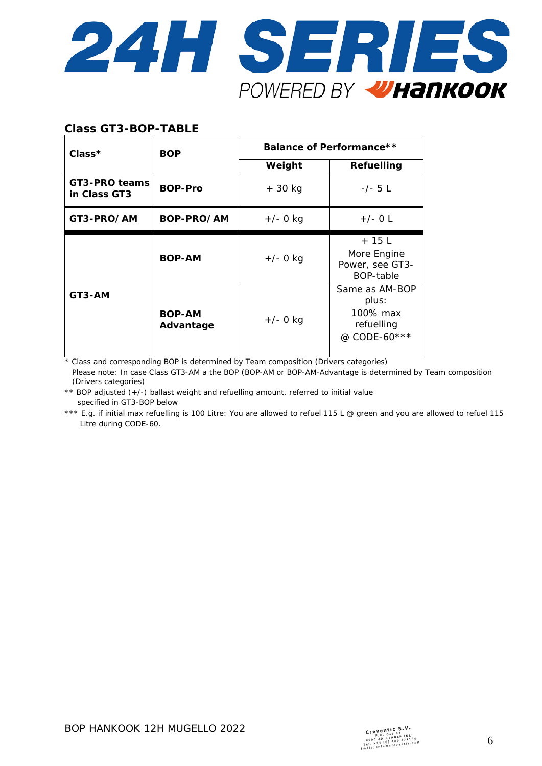

#### **Class GT3-BOP-TABLE**

| Class*                        | <b>BOP</b>                 | Balance of Performance** |                                                                   |  |  |
|-------------------------------|----------------------------|--------------------------|-------------------------------------------------------------------|--|--|
|                               |                            | Weight                   | Refuelling                                                        |  |  |
| GT3-PRO teams<br>in Class GT3 | <b>BOP-Pro</b>             | $+30$ kg                 | $-/- 5 L$                                                         |  |  |
| GT3-PRO/AM                    | BOP-PRO/AM                 | $+/-$ 0 kg               | $+/-$ O L                                                         |  |  |
|                               | <b>BOP-AM</b>              | $+/-$ 0 kg               | $+15L$<br>More Engine<br>Power, see GT3-<br>BOP-table             |  |  |
| GT3-AM                        | <b>BOP-AM</b><br>Advantage | $+/- 0$ kg               | Same as AM-BOP<br>plus:<br>100% max<br>refuelling<br>@ CODE-60*** |  |  |

\* Class and corresponding BOP is determined by Team composition (Drivers categories)

Please note: In case Class GT3-AM a the BOP (BOP-AM or BOP-AM-Advantage is determined by Team composition (Drivers categories)

\*\* BOP adjusted (+/-) ballast weight and refuelling amount, referred to initial value specified in GT3-BOP below

\*\*\* E.g. if initial max refuelling is 100 Litre: You are allowed to refuel 115 L @ green and you are allowed to refuel 115 Litre during CODE-60.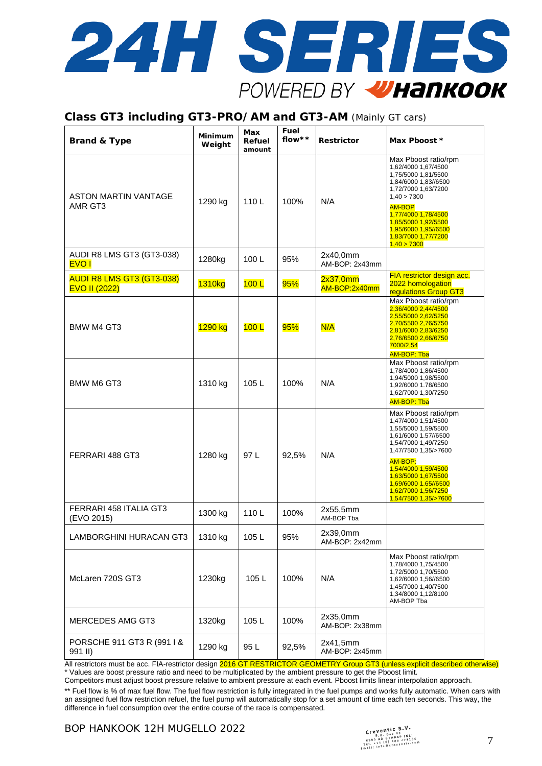

#### **Class GT3 including GT3-PRO/AM and GT3-AM** (Mainly GT cars)

| <b>Brand &amp; Type</b>                                  | Minimum<br>Weight | Max<br>Refuel<br>amount | Fuel<br>flow** | <b>Restrictor</b>          | Max Pboost *                                                                                                                                                                                                                                                              |
|----------------------------------------------------------|-------------------|-------------------------|----------------|----------------------------|---------------------------------------------------------------------------------------------------------------------------------------------------------------------------------------------------------------------------------------------------------------------------|
| ASTON MARTIN VANTAGE<br>AMR GT3                          | 1290 kg           | 110L                    | 100%           | N/A                        | Max Pboost ratio/rpm<br>1,62/4000 1,67/4500<br>1,75/5000 1,81/5500<br>1,84/6000 1,83//6500<br>1,72/7000 1,63/7200<br>1,40 > 7300<br><b>AM-BOP</b><br>1,77/4000 1,78/4500<br>1,85/5000 1,92/5500<br>1,95/6000 1,95//6500<br>1,83/7000 1,77/7200<br>1,40 > 7300             |
| AUDI R8 LMS GT3 (GT3-038)<br><b>EVO1</b>                 | 1280kg            | 100L                    | 95%            | 2x40,0mm<br>AM-BOP: 2x43mm |                                                                                                                                                                                                                                                                           |
| <b>AUDI R8 LMS GT3 (GT3-038)</b><br><b>EVO II (2022)</b> | 1310kg            | 100L                    | 95%            | 2x37,0mm<br>AM-BOP:2x40mm  | FIA restrictor design acc.<br>2022 homologation<br>regulations Group GT3                                                                                                                                                                                                  |
| BMW M4 GT3                                               | 1290 kg           | 100L                    | 95%            | N/A                        | Max Pboost ratio/rpm<br>2,36/4000 2,44/4500<br>2,55/5000 2,62/5250<br>2,70/5500 2,76/5750<br>2,81/6000 2,83/6250<br>2,76/6500 2,66/6750<br>7000/2,54<br><b>AM-BOP: Tba</b>                                                                                                |
| <b>BMW M6 GT3</b>                                        | 1310 kg           | 105L                    | 100%           | N/A                        | Max Pboost ratio/rpm<br>1,78/4000 1,86/4500<br>1,94/5000 1,98/5500<br>1,92/6000 1.78/6500<br>1,62/7000 1,30/7250<br><b>AM-BOP: Tba</b>                                                                                                                                    |
| FERRARI 488 GT3                                          | 1280 kg           | 97 L                    | 92,5%          | N/A                        | Max Pboost ratio/rpm<br>1,47/4000 1,51/4500<br>1,55/5000 1,59/5500<br>1,61/6000 1.57//6500<br>1,54/7000 1,49/7250<br>1,47/7500 1,35/>7600<br>AM-BOP:<br>1,54/4000 1,59/4500<br>1,63/5000 1,67/5500<br>1,69/6000 1.65//6500<br>1,62/7000 1,56/7250<br>1,54/7500 1,35/>7600 |
| FERRARI 458 ITALIA GT3<br>(EVO 2015)                     | 1300 kg           | 110L                    | 100%           | 2x55,5mm<br>AM-BOP Tba     |                                                                                                                                                                                                                                                                           |
| <b>LAMBORGHINI HURACAN GT3</b>                           | 1310 kg           | 105L                    | 95%            | 2x39,0mm<br>AM-BOP: 2x42mm |                                                                                                                                                                                                                                                                           |
| McLaren 720S GT3                                         | 1230kg            | 105L                    | 100%           | N/A                        | Max Pboost ratio/rpm<br>1,78/4000 1,75/4500<br>1,72/5000 1,70/5500<br>1,62/6000 1,56//6500<br>1,45/7000 1,40/7500<br>1,34/8000 1,12/8100<br>AM-BOP Tba                                                                                                                    |
| <b>MERCEDES AMG GT3</b>                                  | 1320kg            | 105L                    | 100%           | 2x35,0mm<br>AM-BOP: 2x38mm |                                                                                                                                                                                                                                                                           |
| PORSCHE 911 GT3 R (991 I &<br>991 II)                    | 1290 kg           | 95 L                    | 92,5%          | 2x41,5mm<br>AM-BOP: 2x45mm |                                                                                                                                                                                                                                                                           |

All restrictors must be acc. FIA-restrictor design 2016 GT RESTRICTOR GEOMETRY Group GT3 (unless explicit described otherwise) \* Values are boost pressure ratio and need to be multiplicated by the ambient pressure to get the Pboost limit.

Competitors must adjust boost pressure relative to ambient pressure at each event. Pboost limits linear interpolation approach. \*\* Fuel flow is % of max fuel flow. The fuel flow restriction is fully integrated in the fuel pumps and works fully automatic. When cars with an assigned fuel flow restriction refuel, the fuel pump will automatically stop for a set amount of time each ten seconds. This way, the difference in fuel consumption over the entire course of the race is compensated.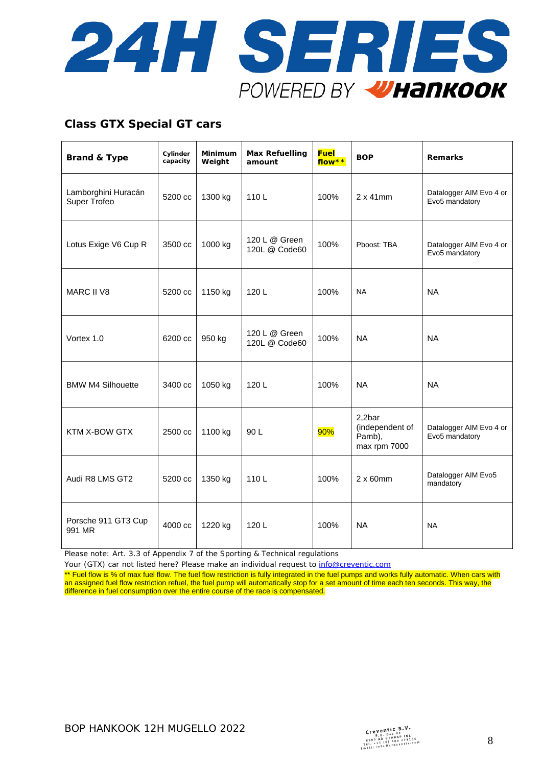

## **Class GTX Special GT cars**

| <b>Brand &amp; Type</b>             | Cylinder<br>capacity | Minimum<br>Weight | <b>Max Refuelling</b><br>amount | <b>Fuel</b><br>flow** | <b>BOP</b>                                          | <b>Remarks</b>                            |
|-------------------------------------|----------------------|-------------------|---------------------------------|-----------------------|-----------------------------------------------------|-------------------------------------------|
| Lamborghini Huracán<br>Super Trofeo | 5200 cc              | 1300 kg           | 110L                            | 100%                  | $2 \times 41$ mm                                    | Datalogger AIM Evo 4 or<br>Evo5 mandatory |
| Lotus Exige V6 Cup R                | 3500 cc              | 1000 kg           | 120 L @ Green<br>120L @ Code60  | 100%                  | Pboost: TBA                                         | Datalogger AIM Evo 4 or<br>Evo5 mandatory |
| <b>MARC II V8</b>                   | 5200 cc              | 1150 kg           | 120L                            | 100%                  | <b>NA</b>                                           | <b>NA</b>                                 |
| Vortex 1.0                          | 6200 cc              | 950 kg            | 120 L @ Green<br>120L @ Code60  | 100%                  | <b>NA</b>                                           | <b>NA</b>                                 |
| <b>BMW M4 Silhouette</b>            | 3400 cc              | 1050 kg           | 120L                            | 100%                  | <b>NA</b>                                           | <b>NA</b>                                 |
| KTM X-BOW GTX                       | 2500 cc              | 1100 kg           | 90 L                            | 90%                   | 2,2bar<br>(independent of<br>Pamb),<br>max rpm 7000 | Datalogger AIM Evo 4 or<br>Evo5 mandatory |
| Audi R8 LMS GT2                     | 5200 cc              | 1350 kg           | 110L                            | 100%                  | $2 \times 60$ mm                                    | Datalogger AIM Evo5<br>mandatory          |
| Porsche 911 GT3 Cup<br>991 MR       | 4000 cc              | 1220 kg           | 120L                            | 100%                  | <b>NA</b>                                           | <b>NA</b>                                 |

Please note: Art. 3.3 of Appendix 7 of the Sporting & Technical regulations

Your (GTX) car not listed here? Please make an individual request to [info@creventic.com](mailto:info@creventic.com)

\*\* Fuel flow is % of max fuel flow. The fuel flow restriction is fully integrated in the fuel pumps and works fully automatic. When cars with an assigned fuel flow restriction refuel, the fuel pump will automatically stop for a set amount of time each ten seconds. This way, the difference in fuel consumption over the entire course of the race is compensated.